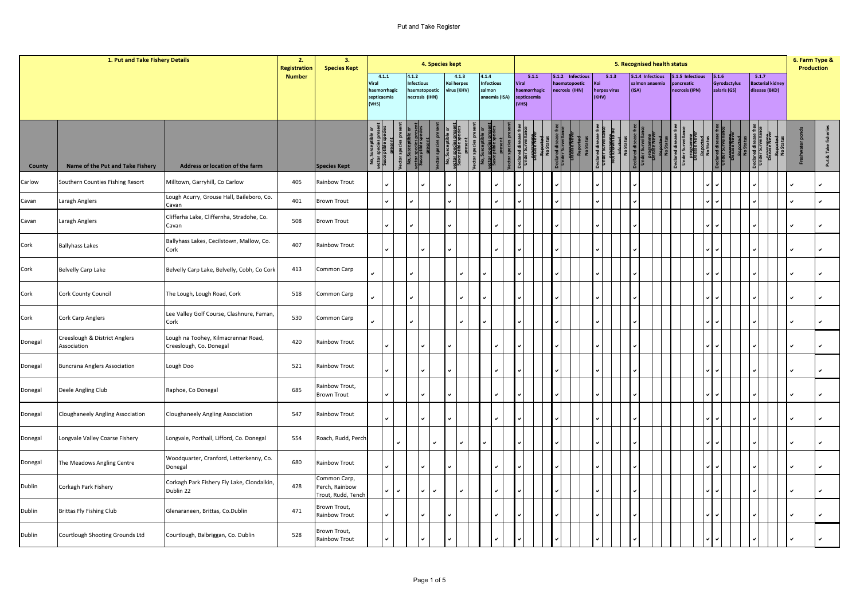|         | 1. Put and Take Fishery Details              |                                                                | 2.<br><b>Registration</b> | 3.<br><b>Species Kept</b>                            |                                                        |              |                                                              | 4. Species kept |                                    |               |                 |                             |                |                                      |  |                                                     |     |                                |               |       | 5. Recognised health status       |                            |                  |                                       |                                                   |  | 6. Farm Type &<br><b>Production</b> |
|---------|----------------------------------------------|----------------------------------------------------------------|---------------------------|------------------------------------------------------|--------------------------------------------------------|--------------|--------------------------------------------------------------|-----------------|------------------------------------|---------------|-----------------|-----------------------------|----------------|--------------------------------------|--|-----------------------------------------------------|-----|--------------------------------|---------------|-------|-----------------------------------|----------------------------|------------------|---------------------------------------|---------------------------------------------------|--|-------------------------------------|
|         |                                              |                                                                | <b>Number</b>             |                                                      | 4.1.1<br>Viral<br>haemorrhagic<br>septicaemia<br>(VHS) |              | 4.1.2<br><b>Infectious</b><br>aematopoetic<br>necrosis (IHN) |                 | 4.1.3<br>Koi herpes<br>virus (KHV) |               | 4.1.4<br>salmon | Infectious<br>anaemia (ISA) | Viral<br>(VHS) | 5.1.1<br>haemorrhagic<br>septicaemia |  | 5.1.2 Infectious<br>haematopoetic<br>necrosis (IHN) | (ni | 5.1.3<br>herpes virus<br>(KHV) |               | (ISA) | 5.1.4 Infectious<br>almon anaemia | ncreatic<br>necrosis (IPN) | 5.1.5 Infectious | 5.1.6<br>Gyrodactylus<br>salaris (GS) | 5.1.7<br><b>Bacterial kidney</b><br>disease (BKD) |  |                                     |
| County  | Name of the Put and Take Fishery             | Address or location of the farm                                |                           | <b>Species Kept</b>                                  | suor<br>Susce                                          |              | No, s<br>susce                                               |                 | No, Sı<br><u>ector s</u><br>Suscep | <b>/ector</b> |                 | sctor<br>Susce              |                |                                      |  |                                                     | No  |                                | $\frac{8}{2}$ |       |                                   | <b>Declared dise</b>       | prog             |                                       |                                                   |  | Put & Take fisher                   |
| Carlow  | Southern Counties Fishing Resort             | Milltown, Garryhill, Co Carlow                                 | 405                       | Rainbow Trout                                        |                                                        | $\mathbf{v}$ |                                                              |                 |                                    |               |                 |                             |                |                                      |  |                                                     |     |                                |               |       |                                   |                            |                  |                                       |                                                   |  |                                     |
| Cavan   | Laragh Anglers                               | Lough Acurry, Grouse Hall, Baileboro, Co.<br>Cavan             | 401                       | <b>Brown Trout</b>                                   |                                                        | v            |                                                              |                 |                                    |               |                 |                             |                |                                      |  |                                                     |     |                                |               |       |                                   |                            |                  |                                       |                                                   |  | $\checkmark$                        |
| Cavan   | Laragh Anglers                               | Clifferha Lake, Cliffernha, Stradohe, Co.<br>Cavan             | 508                       | <b>Brown Trout</b>                                   |                                                        | ✓            |                                                              |                 |                                    |               |                 |                             |                |                                      |  |                                                     |     |                                |               |       |                                   |                            |                  |                                       |                                                   |  | v                                   |
| Cork    | <b>Ballyhass Lakes</b>                       | Ballyhass Lakes, Cecilstown, Mallow, Co.<br>Cork               | 407                       | Rainbow Trout                                        |                                                        | $\checkmark$ |                                                              |                 |                                    |               |                 |                             |                |                                      |  |                                                     |     |                                |               |       |                                   |                            |                  |                                       |                                                   |  | $\checkmark$                        |
| Cork    | Belvelly Carp Lake                           | Belvelly Carp Lake, Belvelly, Cobh, Co Cork                    | 413                       | Common Carp                                          |                                                        |              |                                                              |                 |                                    |               |                 |                             |                |                                      |  |                                                     |     |                                |               |       |                                   |                            |                  |                                       |                                                   |  | $\checkmark$                        |
| Cork    | Cork County Council                          | The Lough, Lough Road, Cork                                    | 518                       | Common Carp                                          | ے                                                      |              |                                                              |                 |                                    |               |                 |                             |                |                                      |  |                                                     |     |                                |               |       |                                   |                            |                  |                                       |                                                   |  | $\checkmark$                        |
| Cork    | Cork Carp Anglers                            | Lee Valley Golf Course, Clashnure, Farran,<br>Cork             | 530                       | Common Carp                                          |                                                        |              |                                                              |                 |                                    |               |                 |                             |                |                                      |  |                                                     |     |                                |               |       |                                   |                            |                  |                                       |                                                   |  | $\checkmark$                        |
| Donegal | Creeslough & District Anglers<br>Association | Lough na Toohey, Kilmacrennar Road,<br>Creeslough, Co. Donegal | 420                       | Rainbow Trout                                        |                                                        |              |                                                              |                 |                                    |               |                 |                             |                |                                      |  |                                                     |     |                                |               |       |                                   |                            |                  |                                       |                                                   |  | $\checkmark$                        |
| Donegal | <b>Buncrana Anglers Association</b>          | Lough Doo                                                      | 521                       | Rainbow Trout                                        |                                                        | ✓            |                                                              |                 |                                    |               |                 |                             |                |                                      |  |                                                     |     |                                |               |       |                                   |                            |                  |                                       |                                                   |  | v                                   |
| Donegal | Deele Angling Club                           | Raphoe, Co Donegal                                             | 685                       | Rainbow Trout,<br><b>Brown Trout</b>                 |                                                        | $\checkmark$ |                                                              |                 |                                    |               |                 |                             |                |                                      |  |                                                     |     |                                |               |       |                                   |                            |                  |                                       |                                                   |  | $\checkmark$                        |
| Donegal | Cloughaneely Angling Association             | Cloughaneely Angling Association                               | 547                       | Rainbow Trout                                        |                                                        |              |                                                              |                 |                                    |               |                 |                             |                |                                      |  |                                                     |     |                                |               |       |                                   |                            |                  |                                       |                                                   |  | ٠                                   |
| Donegal | Longvale Valley Coarse Fishery               | Longvale, Porthall, Lifford, Co. Donegal                       | 554                       | Roach, Rudd, Perch                                   |                                                        | ں            |                                                              |                 |                                    |               |                 |                             |                |                                      |  |                                                     |     |                                |               |       |                                   |                            |                  |                                       |                                                   |  | $\checkmark$                        |
| Donegal | The Meadows Angling Centre                   | Woodquarter, Cranford, Letterkenny, Co.<br>Donegal             | 680                       | Rainbow Trout                                        |                                                        | ◡            |                                                              |                 |                                    |               |                 |                             |                |                                      |  |                                                     |     |                                |               |       |                                   |                            |                  |                                       |                                                   |  | $\checkmark$                        |
| Dublin  | Corkagh Park Fishery                         | Corkagh Park Fishery Fly Lake, Clondalkin,<br>Dublin 22        | 428                       | Common Carp,<br>Perch, Rainbow<br>Trout, Rudd, Tench |                                                        | ✓<br>v       |                                                              |                 |                                    |               |                 |                             |                |                                      |  |                                                     |     |                                |               |       |                                   |                            |                  |                                       |                                                   |  | ب                                   |
| Dublin  | <b>Brittas Fly Fishing Club</b>              | Glenaraneen, Brittas, Co.Dublin                                | 471                       | Brown Trout,<br>Rainbow Trout                        |                                                        | ✓            |                                                              |                 |                                    |               |                 |                             |                |                                      |  |                                                     |     |                                |               |       |                                   |                            |                  |                                       |                                                   |  |                                     |
| Dublin  | Courtlough Shooting Grounds Ltd              | Courtlough, Balbriggan, Co. Dublin                             | 528                       | Brown Trout,<br>Rainbow Trout                        |                                                        | $\checkmark$ |                                                              |                 |                                    |               |                 |                             |                |                                      |  |                                                     |     |                                |               |       |                                   |                            |                  |                                       |                                                   |  |                                     |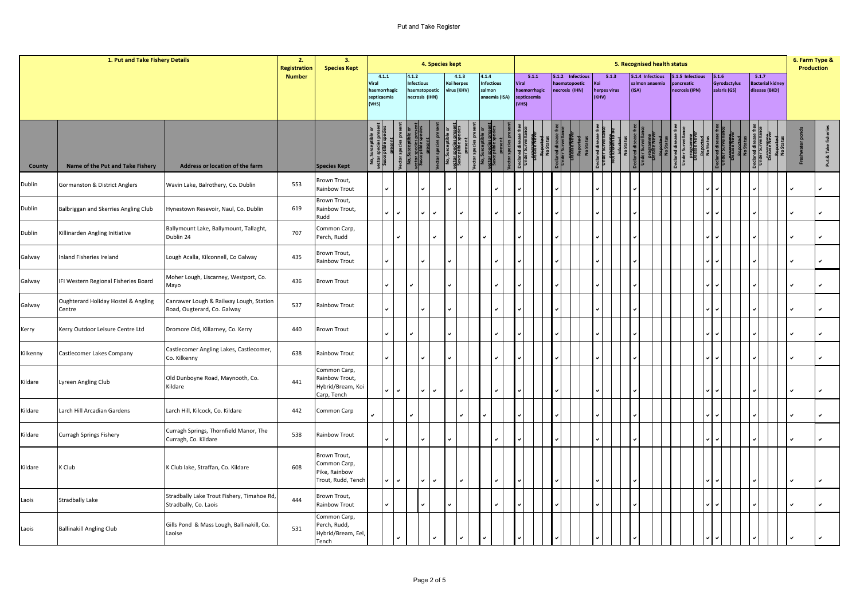|               | 1. Put and Take Fishery Details               |                                                                        | 2.<br><b>Registration</b> | 3.<br><b>Species Kept</b>                                           |                                                        |                   |                            | 4. Species kept               |                                    |      |                                                       |                               |                       |                                        |                  |               |                       |       | 5. Recognised health status       |              |                                                |       |                                     |       |                                          | 6. Farm Type &<br><b>Production</b> |                 |
|---------------|-----------------------------------------------|------------------------------------------------------------------------|---------------------------|---------------------------------------------------------------------|--------------------------------------------------------|-------------------|----------------------------|-------------------------------|------------------------------------|------|-------------------------------------------------------|-------------------------------|-----------------------|----------------------------------------|------------------|---------------|-----------------------|-------|-----------------------------------|--------------|------------------------------------------------|-------|-------------------------------------|-------|------------------------------------------|-------------------------------------|-----------------|
|               |                                               |                                                                        | <b>Number</b>             |                                                                     | 4.1.1<br>Viral<br>haemorrhagic<br>septicaemia<br>(VHS) |                   | 4.1.2<br><b>Infectious</b> | ematopoetic<br>necrosis (IHN) | 4.1.3<br>Koi herpes<br>virus (KHV) |      | 4.1.4<br><b>Infectious</b><br>salmon<br>anaemia (ISA) | Viral<br>septicaemia<br>(VHS) | 5.1.1<br>haemorrhagic | haematopoetic<br><b>necrosis (IHN)</b> | 5.1.2 Infectious | Coi.<br>(KHV) | 5.1.3<br>herpes virus | (ISA) | 5.1.4 Infectious<br>almon anaemia |              | .1.5 Infectious<br>ancreatic<br>necrosis (IPN) | 5.1.6 | <b>Gyrodactylus</b><br>salaris (GS) | 5.1.7 | <b>Bacterial kidney</b><br>disease (BKD) |                                     |                 |
| County        | Name of the Put and Take Fishery              | Address or location of the farm                                        |                           | <b>Species Kept</b>                                                 | vector<br>Susc                                         |                   | etor                       |                               | <b>Edge</b>                        | tor: |                                                       |                               |                       |                                        |                  |               |                       |       |                                   | eclared dise |                                                |       |                                     |       |                                          |                                     | Put & Take fish |
| <b>Dublin</b> | <b>Gormanston &amp; District Anglers</b>      | Wavin Lake, Balrothery, Co. Dublin                                     | 553                       | Brown Trout,<br>Rainbow Trout                                       |                                                        | u.                |                            |                               |                                    |      |                                                       |                               |                       |                                        |                  |               |                       |       |                                   |              |                                                |       |                                     |       |                                          |                                     | v               |
| <b>Dublin</b> | Balbriggan and Skerries Angling Club          | Hynestown Resevoir, Naul, Co. Dublin                                   | 619                       | Brown Trout,<br>Rainbow Trout,<br>Rudd                              |                                                        | $\mathbf{v}$<br>V |                            | $\checkmark$<br>v             | $\checkmark$                       |      |                                                       |                               |                       |                                        |                  |               |                       |       |                                   |              |                                                |       |                                     |       |                                          |                                     | $\checkmark$    |
| Dublin        | Killinarden Angling Initiative                | Ballymount Lake, Ballymount, Tallaght,<br>Dublin 24                    | 707                       | Common Carp,<br>Perch, Rudd                                         |                                                        | ✓                 |                            |                               |                                    |      |                                                       |                               |                       |                                        |                  |               |                       |       |                                   |              |                                                |       |                                     |       |                                          |                                     | $\checkmark$    |
| Galway        | Inland Fisheries Ireland                      | Lough Acalla, Kilconnell, Co Galway                                    | 435                       | Brown Trout,<br>Rainbow Trout                                       |                                                        | $\checkmark$      |                            |                               |                                    |      |                                                       |                               |                       |                                        |                  |               |                       |       |                                   |              |                                                |       |                                     |       |                                          |                                     | $\checkmark$    |
| Galway        | IFI Western Regional Fisheries Board          | Moher Lough, Liscarney, Westport, Co.<br>Mayo                          | 436                       | <b>Brown Trout</b>                                                  |                                                        |                   |                            |                               |                                    |      |                                                       |                               |                       |                                        |                  |               |                       |       |                                   |              |                                                |       |                                     |       |                                          |                                     | $\checkmark$    |
| Galway        | Oughterard Holiday Hostel & Angling<br>Centre | Canrawer Lough & Railway Lough, Station<br>Road, Ougterard, Co. Galway | 537                       | Rainbow Trout                                                       |                                                        |                   |                            |                               |                                    |      |                                                       |                               |                       |                                        |                  |               |                       |       |                                   |              |                                                |       |                                     |       |                                          |                                     | $\checkmark$    |
| Kerry         | Kerry Outdoor Leisure Centre Ltd              | Dromore Old, Killarney, Co. Kerry                                      | 440                       | <b>Brown Trout</b>                                                  |                                                        | $\checkmark$      |                            |                               |                                    |      |                                                       |                               |                       |                                        |                  |               |                       |       |                                   |              |                                                |       |                                     |       |                                          |                                     | v               |
| Kilkenny      | Castlecomer Lakes Company                     | Castlecomer Angling Lakes, Castlecomer,<br>Co. Kilkenny                | 638                       | <b>Rainbow Trout</b>                                                |                                                        |                   |                            |                               |                                    |      |                                                       |                               |                       |                                        |                  |               |                       |       |                                   |              |                                                |       |                                     |       |                                          |                                     | $\checkmark$    |
| Kildare       | Lyreen Angling Club                           | Old Dunboyne Road, Maynooth, Co.<br>Kildare                            | 441                       | Common Carp,<br>Rainbow Trout,<br>Hybrid/Bream, Koi<br>Carp, Tench  |                                                        | $\checkmark$<br>✓ |                            | $\checkmark$<br>v             | $\checkmark$                       |      |                                                       |                               |                       |                                        |                  |               |                       |       |                                   |              |                                                |       |                                     |       |                                          |                                     | $\checkmark$    |
| Kildare       | Larch Hill Arcadian Gardens                   | Larch Hill, Kilcock, Co. Kildare                                       | 442                       | Common Carp                                                         |                                                        |                   |                            |                               | $\checkmark$                       |      |                                                       |                               |                       |                                        |                  |               |                       |       |                                   |              |                                                |       |                                     |       |                                          |                                     | $\checkmark$    |
| Kildare       | Curragh Springs Fishery                       | Curragh Springs, Thornfield Manor, The<br>Curragh, Co. Kildare         | 538                       | Rainbow Trout                                                       |                                                        |                   |                            | پ                             |                                    |      |                                                       |                               |                       |                                        |                  |               |                       |       |                                   |              |                                                |       |                                     |       |                                          |                                     | $\checkmark$    |
| Kildare       | K Club                                        | K Club lake, Straffan, Co. Kildare                                     | 608                       | Brown Trout,<br>Common Carp,<br>Pike, Rainbow<br>Trout, Rudd, Tench |                                                        | $\checkmark$<br>✓ |                            | $\checkmark$<br>v             | v                                  |      |                                                       |                               |                       |                                        |                  |               |                       |       |                                   |              |                                                |       |                                     |       |                                          |                                     | v               |
| Laois         | Stradbally Lake                               | Stradbally Lake Trout Fishery, Timahoe Rd,<br>Stradbally, Co. Laois    | 444                       | Brown Trout,<br>Rainbow Trout                                       |                                                        |                   |                            |                               |                                    |      |                                                       |                               |                       |                                        |                  |               |                       |       |                                   |              |                                                |       |                                     |       |                                          |                                     | $\checkmark$    |
| Laois         | <b>Ballinakill Angling Club</b>               | Gills Pond & Mass Lough, Ballinakill, Co.<br>Laoise                    | 531                       | Common Carp,<br>Perch, Rudd,<br>Hybrid/Bream, Eel,<br>Tench         |                                                        | v.                |                            |                               |                                    |      |                                                       |                               |                       |                                        |                  |               |                       |       |                                   |              |                                                |       |                                     |       |                                          |                                     |                 |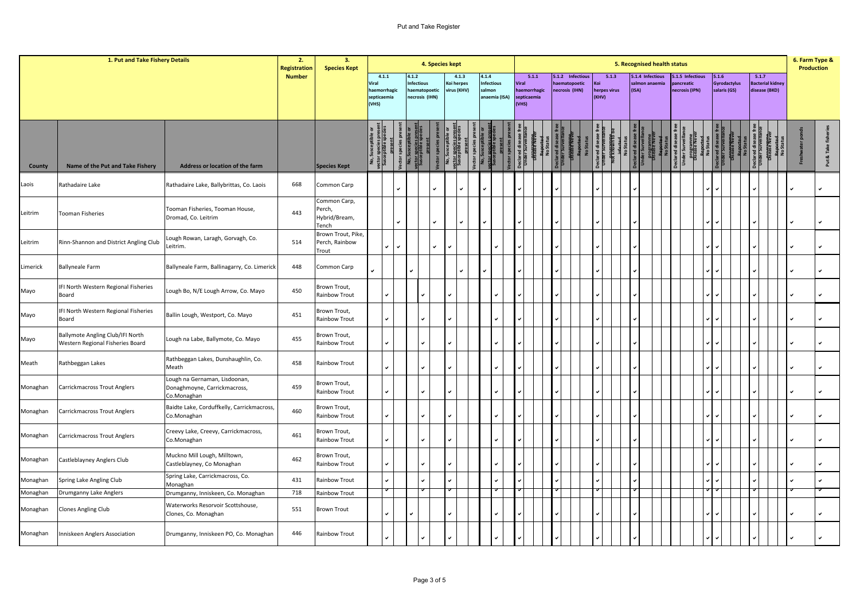## Put and Take Register

|          | 1. Put and Take Fishery Details                                      |                                                                              | 2.<br><b>Registration</b> | 3.<br><b>Species Kept</b>                        |                                                        |        |                    | 4. Species kept               |                                    |                                              |                                                       |  |                                                     |                                       |       | 5. Recognised health status        |  |                                                 |                                       |  |                                                   |      | 6. Farm Type &<br><b>Production</b> |
|----------|----------------------------------------------------------------------|------------------------------------------------------------------------------|---------------------------|--------------------------------------------------|--------------------------------------------------------|--------|--------------------|-------------------------------|------------------------------------|----------------------------------------------|-------------------------------------------------------|--|-----------------------------------------------------|---------------------------------------|-------|------------------------------------|--|-------------------------------------------------|---------------------------------------|--|---------------------------------------------------|------|-------------------------------------|
|          |                                                                      |                                                                              | <b>Number</b>             |                                                  | 4.1.1<br>Viral<br>haemorrhagic<br>septicaemia<br>(VHS) |        | 4.1.2<br>nfectious | aematopoetic<br>ecrosis (IHN) | 4.1.3<br>Koi herpes<br>virus (KHV) | 4.1.4<br>nfectious<br>almon<br>anaemia (ISA) | 5.1.1<br>Viral<br>aemorrhagic<br>septicaemia<br>(VHS) |  | 5.1.2 Infectious<br>haematopoetic<br>necrosis (IHN) | 5.1.3<br>Koi<br>herpes virus<br>(KHV) | (ISA) | 5.1.4 Infectious<br>salmon anaemia |  | 5.1.5 Infectious<br>ancreatic<br>necrosis (IPN) | 5.1.6<br>Gyrodactylus<br>salaris (GS) |  | 5.1.7<br><b>Bacterial kidney</b><br>disease (BKD) |      |                                     |
| County   | Name of the Put and Take Fishery                                     | Address or location of the farm                                              |                           | <b>Species Kept</b>                              | ector species prese<br>Susceptible specie:             |        |                    |                               |                                    |                                              |                                                       |  |                                                     |                                       |       |                                    |  |                                                 |                                       |  |                                                   | Fres | Put & Take                          |
| Laois    | Rathadaire Lake                                                      | Rathadaire Lake, Ballybrittas, Co. Laois                                     | 668                       | Common Carp                                      |                                                        |        |                    |                               |                                    |                                              |                                                       |  |                                                     |                                       |       |                                    |  |                                                 |                                       |  |                                                   |      |                                     |
| Leitrim  | <b>Tooman Fisheries</b>                                              | Tooman Fisheries, Tooman House,<br>Dromad, Co. Leitrim                       | 443                       | Common Carp,<br>Perch,<br>Hybrid/Bream,<br>Tench |                                                        | v      |                    |                               |                                    |                                              |                                                       |  |                                                     |                                       |       |                                    |  |                                                 |                                       |  |                                                   |      |                                     |
| Leitrim  | Rinn-Shannon and District Angling Club                               | ough Rowan, Laragh, Gorvagh, Co.<br>Leitrim.                                 | 514                       | Brown Trout, Pike,<br>Perch, Rainbow<br>Trout    |                                                        | ✓<br>v |                    |                               |                                    |                                              |                                                       |  |                                                     |                                       |       |                                    |  |                                                 |                                       |  |                                                   |      |                                     |
| Limerick | <b>Ballyneale Farm</b>                                               | Ballyneale Farm, Ballinagarry, Co. Limerick                                  | 448                       | Common Carp                                      |                                                        |        |                    |                               |                                    |                                              |                                                       |  |                                                     |                                       |       |                                    |  |                                                 |                                       |  |                                                   |      |                                     |
| Mayo     | IFI North Western Regional Fisheries<br>Board                        | Lough Bo, N/E Lough Arrow, Co. Mayo                                          | 450                       | Brown Trout,<br>Rainbow Trout                    | v                                                      |        |                    |                               |                                    |                                              |                                                       |  |                                                     |                                       |       |                                    |  |                                                 |                                       |  |                                                   |      | ر                                   |
| Mayo     | IFI North Western Regional Fisheries<br>Board                        | Ballin Lough, Westport, Co. Mayo                                             | 451                       | Brown Trout,<br>Rainbow Trout                    |                                                        | ✓      |                    |                               |                                    |                                              |                                                       |  |                                                     |                                       |       |                                    |  |                                                 |                                       |  |                                                   |      |                                     |
| Mayo     | Ballymote Angling Club/IFI North<br>Western Regional Fisheries Board | Lough na Labe, Ballymote, Co. Mayo                                           | 455                       | Brown Trout,<br>Rainbow Trout                    | ✓                                                      |        |                    |                               |                                    |                                              |                                                       |  |                                                     |                                       |       |                                    |  |                                                 |                                       |  |                                                   |      |                                     |
| Meath    | Rathbeggan Lakes                                                     | Rathbeggan Lakes, Dunshaughlin, Co.<br>Meath                                 | 458                       | Rainbow Trout                                    | v                                                      |        |                    |                               |                                    |                                              |                                                       |  |                                                     |                                       |       |                                    |  |                                                 |                                       |  |                                                   |      |                                     |
| Monaghan | Carrickmacross Trout Anglers                                         | Lough na Gernaman, Lisdoonan,<br>Donaghmoyne, Carrickmacross,<br>Co.Monaghan | 459                       | Brown Trout,<br>Rainbow Trout                    |                                                        | ✓      |                    |                               |                                    |                                              |                                                       |  |                                                     |                                       |       |                                    |  |                                                 |                                       |  |                                                   |      |                                     |
| Monaghan | Carrickmacross Trout Anglers                                         | Baidte Lake, Corduffkelly, Carrickmacross,<br>Co.Monaghan                    | 460                       | Brown Trout,<br>Rainbow Trout                    | ✓                                                      |        |                    |                               |                                    |                                              |                                                       |  |                                                     |                                       |       |                                    |  |                                                 |                                       |  |                                                   |      |                                     |
| Monaghan | Carrickmacross Trout Anglers                                         | Creevy Lake, Creevy, Carrickmacross,<br>Co.Monaghan                          | 461                       | Brown Trout,<br>Rainbow Trout                    | V                                                      |        |                    |                               |                                    |                                              |                                                       |  |                                                     |                                       |       |                                    |  |                                                 |                                       |  |                                                   |      |                                     |
| Monaghan | Castleblayney Anglers Club                                           | Muckno Mill Lough, Milltown,<br>Castleblayney, Co Monaghan                   | 462                       | Brown Trout,<br>Rainbow Trout                    |                                                        | ✓      |                    |                               |                                    |                                              |                                                       |  |                                                     |                                       |       |                                    |  |                                                 |                                       |  |                                                   |      |                                     |
| Monaghan | Spring Lake Angling Club                                             | Spring Lake, Carrickmacross, Co.<br>Monaghan                                 | 431                       | Rainbow Trout                                    | v                                                      |        |                    |                               |                                    |                                              |                                                       |  |                                                     |                                       |       |                                    |  |                                                 |                                       |  |                                                   |      |                                     |
| Monaghan | Drumganny Lake Anglers                                               | Drumganny, Inniskeen, Co. Monaghan                                           | 718                       | Rainbow Trout                                    |                                                        |        |                    |                               |                                    |                                              |                                                       |  |                                                     |                                       |       |                                    |  |                                                 |                                       |  |                                                   |      |                                     |
| Monaghan | Clones Angling Club                                                  | Waterworks Resorvoir Scottshouse,<br>Clones, Co. Monaghan                    | 551                       | Brown Trout                                      | v                                                      |        |                    |                               |                                    |                                              |                                                       |  |                                                     |                                       |       |                                    |  |                                                 |                                       |  |                                                   |      |                                     |
| Monaghan | Inniskeen Anglers Association                                        | Drumganny, Inniskeen PO, Co. Monaghan                                        | 446                       | Rainbow Trout                                    |                                                        | ✓      |                    |                               |                                    |                                              |                                                       |  |                                                     |                                       |       |                                    |  |                                                 |                                       |  |                                                   |      |                                     |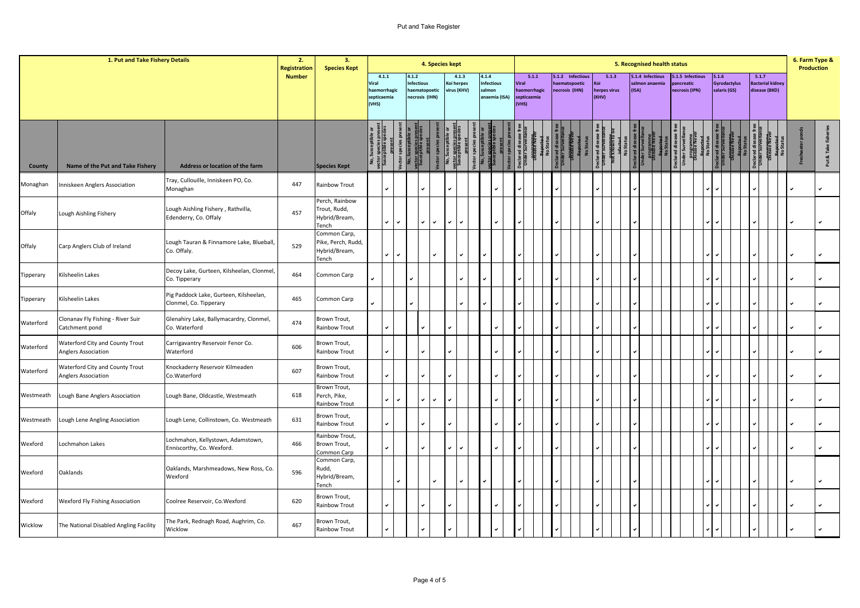## Put and Take Register

|                    | 1. Put and Take Fishery Details                                   |                                                                                    | 2.<br><b>Registration</b> | 3.<br><b>Species Kept</b>                                    |                               |                       |               |                                                     | 4. Species kept |                                    |                                                       |                               |                       |                                 |                  |              |                       |       | 5. Recognised health status        |                                               |       |                              |       |                                          | 6. Farm Type &<br><b>Production</b> |            |
|--------------------|-------------------------------------------------------------------|------------------------------------------------------------------------------------|---------------------------|--------------------------------------------------------------|-------------------------------|-----------------------|---------------|-----------------------------------------------------|-----------------|------------------------------------|-------------------------------------------------------|-------------------------------|-----------------------|---------------------------------|------------------|--------------|-----------------------|-------|------------------------------------|-----------------------------------------------|-------|------------------------------|-------|------------------------------------------|-------------------------------------|------------|
|                    |                                                                   |                                                                                    | <b>Number</b>             |                                                              | Viral<br>septicaemia<br>(VHS) | 4.1.1<br>haemorrhagic | 4.1.2         | <b>Infectious</b><br>aematopoetic<br>necrosis (IHN) |                 | 4.1.3<br>Koi herpes<br>rirus (KHV) | 4.1.4<br><b>Infectious</b><br>salmon<br>anaemia (ISA) | Viral<br>septicaemia<br>(VHS) | 5.1.1<br>haemorrhagic | haematopoetic<br>necrosis (IHN) | 5.1.2 Infectious | Koi<br>(KHV) | 5.1.3<br>herpes virus | (ISA) | 5.1.4 Infectious<br>salmon anaemia | .1.5 Infectious<br>ncreatic<br>necrosis (IPN) | 5.1.6 | Gyrodactylus<br>salaris (GS) | 5.1.7 | <b>Bacterial kidney</b><br>disease (BKD) |                                     |            |
|                    |                                                                   |                                                                                    |                           |                                                              |                               | ass<br>Susc           | No, S<br>ctor |                                                     |                 |                                    |                                                       |                               |                       |                                 |                  |              |                       |       |                                    |                                               |       |                              |       |                                          |                                     | Put & Take |
| County<br>Monaghan | Name of the Put and Take Fishery<br>Inniskeen Anglers Association | Address or location of the farm<br>Tray, Cullouille, Inniskeen PO, Co.<br>Monaghan | 447                       | <b>Species Kept</b><br>Rainbow Trout                         |                               |                       |               |                                                     |                 |                                    |                                                       |                               |                       |                                 |                  |              |                       |       |                                    |                                               |       |                              |       |                                          |                                     |            |
| Offaly             | Lough Aishling Fishery                                            | Lough Aishling Fishery, Rathvilla,<br>Edenderry, Co. Offaly                        | 457                       | Perch, Rainbow<br>Trout, Rudd,<br>Hybrid/Bream,<br>Tench     |                               | ✓<br>$\checkmark$     |               | $\checkmark$                                        | $\checkmark$    | $\checkmark$                       | ✓                                                     |                               |                       |                                 |                  |              |                       |       |                                    |                                               |       |                              |       |                                          |                                     |            |
| Offaly             | Carp Anglers Club of Ireland                                      | Lough Tauran & Finnamore Lake, Blueball,<br>Co. Offaly.                            | 529                       | Common Carp,<br>Pike, Perch, Rudd,<br>Hybrid/Bream,<br>Tench |                               | ◡<br>$\checkmark$     |               |                                                     | ◡               | $\checkmark$                       |                                                       |                               |                       |                                 |                  |              |                       |       |                                    |                                               |       |                              |       |                                          |                                     | ✓          |
| Tipperary          | Kilsheelin Lakes                                                  | Decoy Lake, Gurteen, Kilsheelan, Clonmel,<br>Co. Tipperary                         | 464                       | Common Carp                                                  |                               |                       |               |                                                     |                 |                                    |                                                       |                               |                       |                                 |                  |              |                       |       |                                    |                                               |       |                              |       |                                          |                                     |            |
| Tipperary          | Kilsheelin Lakes                                                  | Pig Paddock Lake, Gurteen, Kilsheelan,<br>Clonmel, Co. Tipperary                   | 465                       | Common Carp                                                  |                               |                       |               |                                                     |                 |                                    |                                                       |                               |                       |                                 |                  |              |                       |       |                                    |                                               |       |                              |       |                                          |                                     | ✓          |
| Waterford          | Clonanav Fly Fishing - River Suir<br>Catchment pond               | Glenahiry Lake, Ballymacardry, Clonmel,<br>Co. Waterford                           | 474                       | Brown Trout,<br>Rainbow Trout                                |                               | ے                     |               |                                                     |                 |                                    |                                                       |                               |                       |                                 |                  |              |                       |       |                                    |                                               |       |                              |       |                                          |                                     | ں          |
| Waterford          | Waterford City and County Trout<br>Anglers Association            | Carrigavantry Reservoir Fenor Co.<br>Waterford                                     | 606                       | Brown Trout,<br>Rainbow Trout                                |                               |                       |               |                                                     |                 |                                    |                                                       |                               |                       |                                 |                  |              |                       |       |                                    |                                               |       |                              |       |                                          |                                     |            |
| Waterford          | Waterford City and County Trout<br>Anglers Association            | Knockaderry Reservoir Kilmeaden<br>Co.Waterford                                    | 607                       | Brown Trout,<br>Rainbow Trout                                |                               |                       |               |                                                     |                 |                                    |                                                       |                               |                       |                                 |                  |              |                       |       |                                    |                                               |       |                              |       |                                          |                                     |            |
| Westmeath          | Lough Bane Anglers Association                                    | Lough Bane, Oldcastle, Westmeath                                                   | 618                       | Brown Trout,<br>Perch, Pike,<br>Rainbow Trout                |                               | ◡<br>$\checkmark$     |               | v                                                   | v               |                                    |                                                       |                               |                       |                                 |                  |              |                       |       |                                    |                                               |       |                              |       |                                          |                                     |            |
| Westmeath          | Lough Lene Angling Association                                    | Lough Lene, Collinstown, Co. Westmeath                                             | 631                       | Brown Trout,<br>Rainbow Trout                                |                               | ✓                     |               |                                                     |                 |                                    |                                                       |                               |                       |                                 |                  |              |                       |       |                                    |                                               |       |                              |       |                                          |                                     |            |
| Wexford            | Lochmahon Lakes                                                   | Lochmahon, Kellystown, Adamstown,<br>Enniscorthy, Co. Wexford.                     | 466                       | Rainbow Trout,<br>Brown Trout,<br>Common Carp                |                               |                       |               |                                                     |                 | $\checkmark$                       |                                                       |                               |                       |                                 |                  |              |                       |       |                                    |                                               |       |                              |       |                                          |                                     |            |
| Wexford            | Oaklands                                                          | Oaklands, Marshmeadows, New Ross, Co.<br>Wexford                                   | 596                       | Common Carp,<br>Rudd,<br>Hybrid/Bream,<br>Tench              |                               | $\checkmark$          |               |                                                     | v               | $\checkmark$                       |                                                       |                               |                       |                                 |                  |              |                       |       |                                    |                                               |       |                              |       |                                          |                                     | ◡          |
| Wexford            | Wexford Fly Fishing Association                                   | Coolree Reservoir, Co.Wexford                                                      | 620                       | Brown Trout,<br><b>Rainbow Trout</b>                         |                               |                       |               |                                                     |                 |                                    |                                                       |                               |                       |                                 |                  |              |                       |       |                                    |                                               |       |                              |       |                                          |                                     |            |
| Wicklow            | The National Disabled Angling Facility                            | The Park, Rednagh Road, Aughrim, Co.<br>Wicklow                                    | 467                       | Brown Trout,<br>Rainbow Trout                                |                               |                       |               |                                                     |                 |                                    |                                                       |                               |                       |                                 |                  |              |                       |       |                                    |                                               |       |                              |       |                                          |                                     |            |